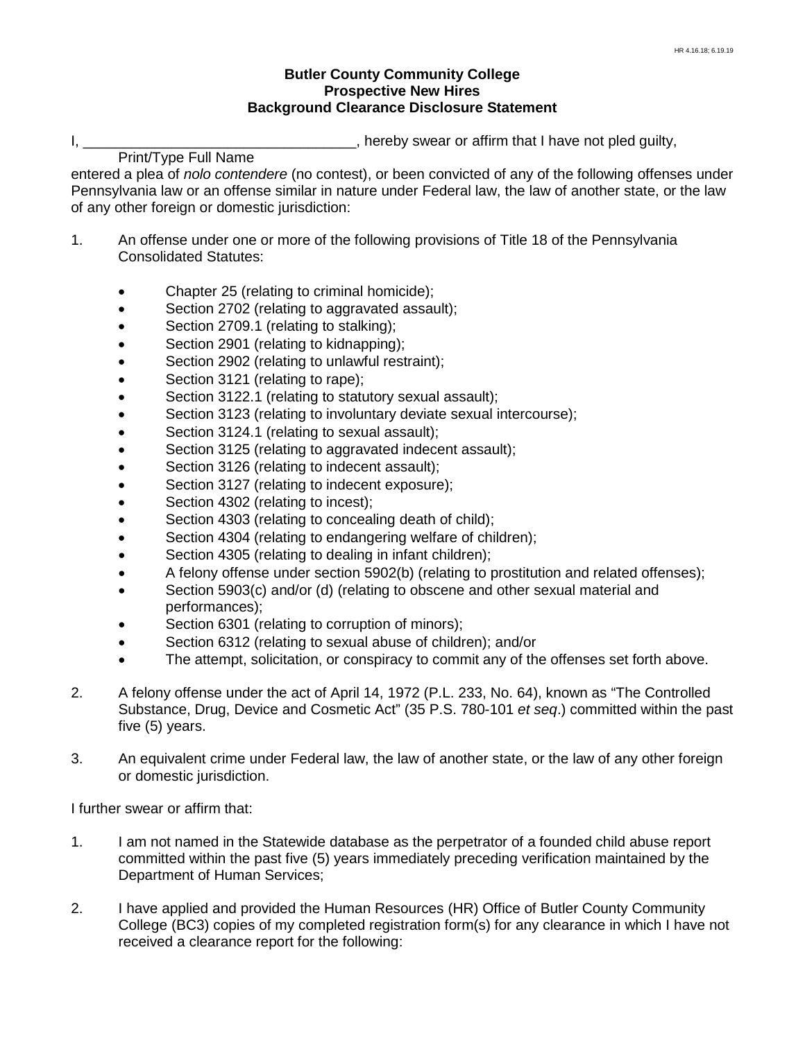## **Butler County Community College Prospective New Hires Background Clearance Disclosure Statement**

I, the same intervals of the set of the set of the set of the set of the set of pled guilty,  $\mathbf{I}$ , hereby swear or affirm that I have not pled guilty,

Print/Type Full Name

entered a plea of *nolo contendere* (no contest), or been convicted of any of the following offenses under Pennsylvania law or an offense similar in nature under Federal law, the law of another state, or the law of any other foreign or domestic jurisdiction:

- 1. An offense under one or more of the following provisions of Title 18 of the Pennsylvania Consolidated Statutes:
	- Chapter 25 (relating to criminal homicide);
	- Section 2702 (relating to aggravated assault);
	- Section 2709.1 (relating to stalking);
	- Section 2901 (relating to kidnapping);
	- Section 2902 (relating to unlawful restraint);
	- Section 3121 (relating to rape);
	- Section 3122.1 (relating to statutory sexual assault);
	- Section 3123 (relating to involuntary deviate sexual intercourse);
	- Section 3124.1 (relating to sexual assault);
	- Section 3125 (relating to aggravated indecent assault);
	- Section 3126 (relating to indecent assault);
	- Section 3127 (relating to indecent exposure);
	- Section 4302 (relating to incest);
	- Section 4303 (relating to concealing death of child);
	- Section 4304 (relating to endangering welfare of children);
	- Section 4305 (relating to dealing in infant children);
	- A felony offense under section 5902(b) (relating to prostitution and related offenses);
	- Section 5903(c) and/or (d) (relating to obscene and other sexual material and
	- performances);
	- Section 6301 (relating to corruption of minors);
	- Section 6312 (relating to sexual abuse of children); and/or
	- The attempt, solicitation, or conspiracy to commit any of the offenses set forth above.
- 2. A felony offense under the act of April 14, 1972 (P.L. 233, No. 64), known as "The Controlled Substance, Drug, Device and Cosmetic Act" (35 P.S. 780-101 *et seq*.) committed within the past five (5) years.
- 3. An equivalent crime under Federal law, the law of another state, or the law of any other foreign or domestic jurisdiction.

I further swear or affirm that:

- 1. I am not named in the Statewide database as the perpetrator of a founded child abuse report committed within the past five (5) years immediately preceding verification maintained by the Department of Human Services;
- 2. I have applied and provided the Human Resources (HR) Office of Butler County Community College (BC3) copies of my completed registration form(s) for any clearance in which I have not received a clearance report for the following: